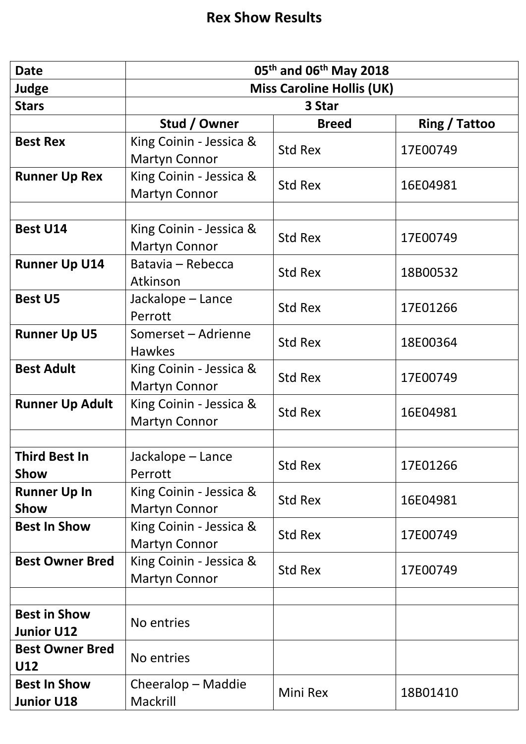| <b>Date</b>                              | 05 <sup>th</sup> and 06 <sup>th</sup> May 2018  |              |               |
|------------------------------------------|-------------------------------------------------|--------------|---------------|
| <b>Judge</b>                             | <b>Miss Caroline Hollis (UK)</b>                |              |               |
| <b>Stars</b>                             | 3 Star                                          |              |               |
|                                          | Stud / Owner                                    | <b>Breed</b> | Ring / Tattoo |
| <b>Best Rex</b>                          | King Coinin - Jessica &<br><b>Martyn Connor</b> | Std Rex      | 17E00749      |
| <b>Runner Up Rex</b>                     | King Coinin - Jessica &<br><b>Martyn Connor</b> | Std Rex      | 16E04981      |
|                                          |                                                 |              |               |
| <b>Best U14</b>                          | King Coinin - Jessica &<br><b>Martyn Connor</b> | Std Rex      | 17E00749      |
| <b>Runner Up U14</b>                     | Batavia - Rebecca<br>Atkinson                   | Std Rex      | 18B00532      |
| <b>Best U5</b>                           | Jackalope - Lance<br>Perrott                    | Std Rex      | 17E01266      |
| <b>Runner Up U5</b>                      | Somerset - Adrienne<br><b>Hawkes</b>            | Std Rex      | 18E00364      |
| <b>Best Adult</b>                        | King Coinin - Jessica &<br><b>Martyn Connor</b> | Std Rex      | 17E00749      |
| <b>Runner Up Adult</b>                   | King Coinin - Jessica &<br><b>Martyn Connor</b> | Std Rex      | 16E04981      |
|                                          |                                                 |              |               |
| <b>Third Best In</b><br>Show             | Jackalope - Lance<br>Perrott                    | Std Rex      | 17E01266      |
| <b>Runner Up In</b><br>Show              | King Coinin - Jessica &<br><b>Martyn Connor</b> | Std Rex      | 16E04981      |
| <b>Best In Show</b>                      | King Coinin - Jessica &<br><b>Martyn Connor</b> | Std Rex      | 17E00749      |
| <b>Best Owner Bred</b>                   | King Coinin - Jessica &<br><b>Martyn Connor</b> | Std Rex      | 17E00749      |
|                                          |                                                 |              |               |
| <b>Best in Show</b><br><b>Junior U12</b> | No entries                                      |              |               |
| <b>Best Owner Bred</b><br>U12            | No entries                                      |              |               |
| <b>Best In Show</b><br><b>Junior U18</b> | Cheeralop – Maddie<br>Mackrill                  | Mini Rex     | 18B01410      |